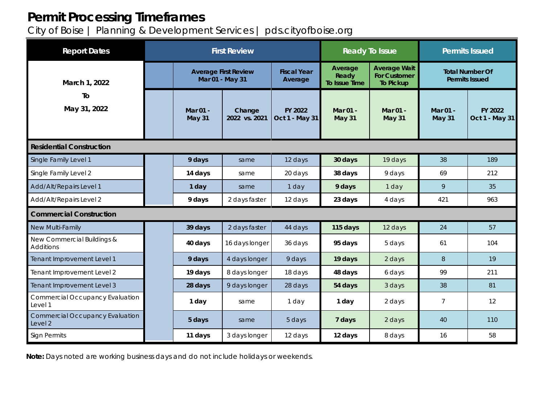# **Permit Processing Timeframes**

City of Boise | Planning & Development Services | pds.cityofboise.org

| <b>Report Dates</b>                               | <b>First Review</b> |                                                |                         |                               | <b>Ready To Issue</b>                    |                                                                | <b>Permits Issued</b>                           |                           |
|---------------------------------------------------|---------------------|------------------------------------------------|-------------------------|-------------------------------|------------------------------------------|----------------------------------------------------------------|-------------------------------------------------|---------------------------|
| March 1, 2022<br>To<br>May 31, 2022               |                     | <b>Average First Review</b><br>Mar 01 - May 31 |                         | <b>Fiscal Year</b><br>Average | Average<br>Ready<br><b>To Issue Time</b> | <b>Average Wait</b><br><b>For Customer</b><br><b>To Pickup</b> | <b>Total Number Of</b><br><b>Permits Issued</b> |                           |
|                                                   |                     | Mar 01 -<br><b>May 31</b>                      | Change<br>2022 vs. 2021 | FY 2022<br>Oct 1 - May 31     | Mar 01 -<br>May 31                       | Mar 01 -<br><b>May 31</b>                                      | Mar 01 -<br><b>May 31</b>                       | FY 2022<br>Oct 1 - May 31 |
| <b>Residential Construction</b>                   |                     |                                                |                         |                               |                                          |                                                                |                                                 |                           |
| Single Family Level 1                             |                     | 9 days                                         | same                    | 12 days                       | 30 days                                  | 19 days                                                        | 38                                              | 189                       |
| Single Family Level 2                             |                     | 14 days                                        | same                    | 20 days                       | 38 days                                  | 9 days                                                         | 69                                              | 212                       |
| Add/Alt/Repairs Level 1                           |                     | 1 day                                          | same                    | 1 day                         | 9 days                                   | 1 day                                                          | 9                                               | 35                        |
| Add/Alt/Repairs Level 2                           |                     | 9 days                                         | 2 days faster           | 12 days                       | 23 days                                  | 4 days                                                         | 421                                             | 963                       |
| <b>Commercial Construction</b>                    |                     |                                                |                         |                               |                                          |                                                                |                                                 |                           |
| New Multi-Family                                  |                     | 39 days                                        | 2 days faster           | 44 days                       | 115 days                                 | 12 days                                                        | 24                                              | 57                        |
| New Commercial Buildings &<br><b>Additions</b>    |                     | 40 days                                        | 16 days longer          | 36 days                       | 95 days                                  | 5 days                                                         | 61                                              | 104                       |
| Tenant Improvement Level 1                        |                     | 9 days                                         | 4 days longer           | 9 days                        | 19 days                                  | 2 days                                                         | 8                                               | 19                        |
| Tenant Improvement Level 2                        |                     | 19 days                                        | 8 days longer           | 18 days                       | 48 days                                  | 6 days                                                         | 99                                              | 211                       |
| Tenant Improvement Level 3                        |                     | 28 days                                        | 9 days longer           | 28 days                       | 54 days                                  | 3 days                                                         | 38                                              | 81                        |
| <b>Commercial Occupancy Evaluation</b><br>Level 1 |                     | 1 day                                          | same                    | 1 day                         | 1 day                                    | 2 days                                                         | $\overline{7}$                                  | 12                        |
| <b>Commercial Occupancy Evaluation</b><br>Level 2 |                     | 5 days                                         | same                    | 5 days                        | 7 days                                   | 2 days                                                         | 40                                              | 110                       |
| <b>Sign Permits</b>                               |                     | 11 days                                        | 3 days longer           | 12 days                       | 12 days                                  | 8 days                                                         | 16                                              | 58                        |

**Note:** Days noted are working business days and do not include holidays or weekends.